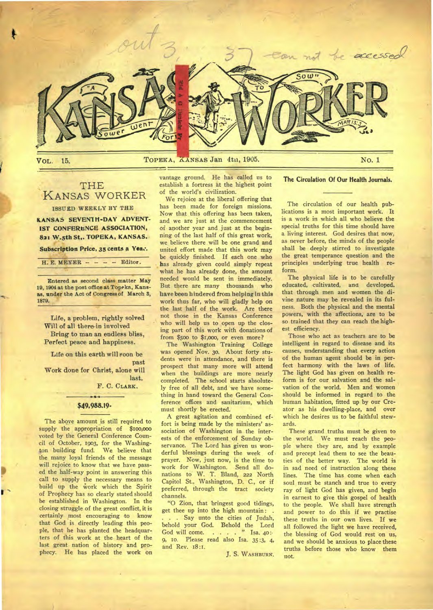

# THE KANSAS WORKER

ISSUED WEEKLY BY THE

**KANSAS SEVENTH-DAY ADVENT-IST CONFERENCE ASSOCIATION, 821 W.5th St,. TOPEKA, KANSAS. Subscription Price, 35 cents a** Yea:.

H. E. MEYER — — — Editor.

Entered as second class matter May 19, 1904 at the post office at Topeka, Kansas, under the Act of Congress of March 8, 1879.

Life, a problem, rightly solved Will of all there-in involved

Bring to man an endless bliss, Perfect peace and happiness.

Life on this earth will soon be past

Work done for Christ, alone will last.

F. **C. CLARK.** 

#### **\$49,988.19.**

**•**

The above amount is still required to supply the appropriation of \$100,000 voted by the General Conference Council of October, 1903, for the Washington building fund. We believe that the many loyal friends of the message will rejoice to know that we have passed the half-way point in answering this call to supply the necessary means to build up the Work which the Spirit of Prophecy has so clearly stated should be established in Washington. In the closing struggle of the great conflict, it is certainly most encouraging to know that God is directly leading this people, that he has planted the headquarters of this work at the heart of the last great nation of history and prophecy. He has placed the work on vantage ground. He has called us to establish a fortress at the highest point of the world's civilization.

We rejoice at the liberal offering that has been made for foreign missions. Now that this offering has been taken, and we are just at the commencement of another year and just at the beginning of the last half of this great work, we believe there will be one grand and united effort made that this work may be quickly finished. If each one who has already given could simply repeat what he has already done, the amount needed would be sent in immediately. But there are many thousands who have been hindered from helping in this work thus far, who will gladly help on the last half of the work. Are there not those in the Kansas Conference who will help us to open up the closing part of this work with donations of from \$5oo to \$1,000, or even more?

The Washington Training College was opened Nov. 3o. About forty students were in attendance, and there is prospect that many more will attend when the buildings are more nearly completed. The school starts absolutely free of all debt, and we have something in hand toward the General Conference offices and sanitarium, which must shortly be erected.

A great agitation and combined effort is being made by the ministers' association of Washington in the interests of the enforcement of Sunday observance. The Lord has given us wonderful blessings during the week of prayer. Now, just now, is the time to work for Washington. Send all donations to W. T. Bland, 222 North Capitol St., Washington, D. C., or if preferred, through the tract society channels.

"0 Zion, that bringest good tidings, get thee up into the high mountain: . . . . Say unto the cities of Judah, behold your God. Behold the Lord God will come. . . . . " Isa. 40: 9, 10. Please read also Isa. 35:3, 4, and Rev. 18:1.

J. S. WASHBURN.

**The Circulation Of Our Health Journals.** 

The circulation of our health publications is a most important work. It is a work in which all who believe the special truths for this time should have a living interest. God desires that now, as never before, the minds of the people shall be deeply stirred to investigate the great temperance question and the principles underlying true health reform.

The physical life is to be carefully educated, cultivated, and developed. that through men and women the divine nature may be revealed in its fulness. Both the physical and the mental powers, with the affections, are to be so trained that they can reach the highest efficiency.

Those who act as teachers are to be intelligent in regard to disease and its causes, understanding that every action of the human agent should be in perfect harmony with the laws of life. The light God has given on health reform is for our salvation and the salvation of the world. Men and women should be informed in regard to the human habitation, fitted up by our Creator as his dwelling-place, and over which he desires us to be faithful stewards.

These grand truths must be given to the world. We must reach the people where they are, and by example and precept lead them to see the beauties of the better way. The world is in sad need of instruction along these lines. The time has come when each soul must be stanch and true to every ray of light God has given, and begin in earnest to give this gospel of health to the people. We shall have strength and power to do this if we practise these truths in our own lives. If we all followed the light we have received, the blessing of God would rest on us. and we should be anxious to place these truths before those who know them not.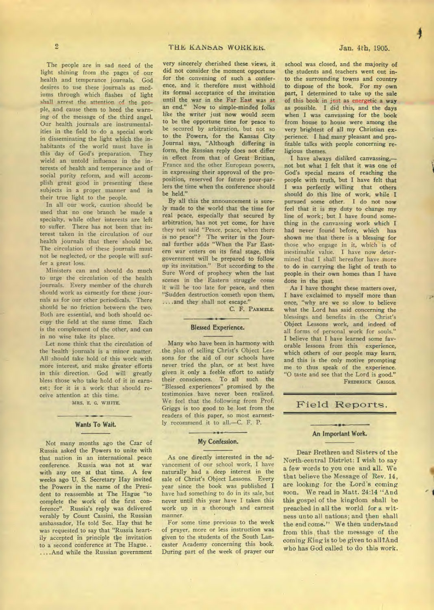The people are in sad need of the light shining from the pages of our health and temperance journals. God desires to use these journals as mediums through which flashes of light shall arrest the attention of the people, and cause them to heed the warning of the message of the third angel. Our health journals are instrumentalities in the field to do a special work in disseminating the light which the inhabitants of the world must have in this day of God's preparation. They wield an untold influence in the interests of health and temperance and of social purity reform, and will accomplish great good in presenting these subjects in a proper manner and in their true light to the people.

In all our work, caution should be used that no one branch be made a specialty, while other interests are left to suffer. There has not been that interest taken in the circulation of our health journals that there should be. The circulation of these journals must not be neglected, or the people will suffer a great loss.

Ministers can and should do much to urge the circulation of the health journals. Every member of the church should work as earnestly for these journals as for our other periodicals. There should be no friction between the two. Both are essential, and both should occupy the field at the same time. Each is the complement of the other, and can in no wise take its place.

Let none think that the circulation of the health journals is a minor matter. All should take hold of this work with more interest, and make greater efforts in this direction. God will greatly bless those who take hold of it in earnest; for it is a work that should receive attention at this time.

MRS. E. G. WHITE.

#### **Wants To Wait.**

Not many months ago the Czar of Russia asked the Powers to unite with that nation in an international peace conference. Russia was not at war with any one at that time. A few weeks ago U. S. Secretary Hay invited the Powers in the name of the President to reassemble at The Hague "to complete the work of the first conference". Russia's reply was delivered verably by Count Cassini, the Russian ambassador, He told Sec. Hay that he was requested to say that "Russia heartily accepted in principle the invitation to a second conference at The Hague.. ....And while the Russian government

very sincerely cherished these views, it did not consider the moment opportune for the convening of such a conference, and it therefore must withhold its formal acceptance of the invitation until the war in the Far East was at an end." Now to simple-minded folks like the writer just now would seem to be the opportune time for peace to be secured by arbitration, but not so to the Powers, for the Kansas City Journal says, "Although differing in form, the Russian reply does not differ in effect from that of Great Britian, France and the other European powers, in expressing their approval of the proposition, reserved for future pour-parlers the time when the conference should be held."

By all this the announcement is surely made to the world that the time for real peace, especially that secured by arbitration, has not yet come, for have they not said "Peace, peace, when there is no peace"? The writer in the Journal further adds "When the Far Eastern war enters on its final stage, this government will be prepared to follow up its invitation." But according to the Sure Word of prophecy when the last scenes in the Eastern struggle come it will be too late for peace, and then "Sudden destruction cometh upon them, ....and they shall not escape."

C. F. PARMELE.

#### **Blessed Experience.**

Many who have been in harmony with the plan of selling Christ's Object Lessons for the aid of our schools have never tried the plan, or at best have given it only a feeble effort to satisfy their consciences. To all such the "Blessed experiences" promised by the testimonies have never been realized. We feel that the following from Prof. Griggs is too good to be lost from the readers of this paper, so most earnestly recommend it to all.—C. F. P.

### $+ +$ **My Confession.**

As one directly interested in the advancement of our school work, I have naturally had a deep interest in the sale of Christ's Object Lessons. Every year since the book was published I have had something to do in its sale, but never until this year have I taken this work up in a thorough and earnest manner.

For some time previous to the week of prayer, more or less instruction was given to the students of the South Lancaster Academy concerning this book. During part of the week of prayer our school was closed, and the majority of the students and teachers went out into the surrounding towns and country to dispose of the book. For my own part, I determined to take up the sale of this book in just as energetic a way as possible. I did this, and the days when I was canvassing for the book from house to house were among the very brightest of all my Christian experience. I had many pleasant and profitable talks with people concerning religious themes.

I have always disliked canvassing, not but what I felt that it was one of God's special means of reaching the people with truth, but I have felt that I was perfectly willing that others should do this line of work, while I pursued some other. I do not now feel that it is my duty to change my line of work; but I have found something in the canvassing work which I had never found before, which has shown me that there is a blessing for those who engage in it, which is of inestimable value. I have now determined that I shall hereafter have more to do in carrying the light of truth to people in their own homes than I have done in the past.

As I have thought these matters over, I have exclaimed to myself more than once, "why are we so slow to believe what the Lord has said concerning the blessings and benefits in the Christ's Object Lessons work, and indeed of all forms of personal work for souls." I believe that I have learned some favorable lessons from this experience, which others of our people may learn, and this is the only motive prompting me to thus speak of the experience. "0 taste and see that the Lord is good." FREDERICK GRIGGS.

## Field Reports.

### $\rightarrow$  0 + **An Important Work.**

Dear Brethren 'and Sisters of the North-central District: I wish to say a few words to you one and all. We that believe the Message of Rev. **14,**  are looking for the Lord's coming soon. We read in Matt. 24:14 "And this gospel of the kingdom shall be preached in all the world for a witness unto all nations; and then shall the end come." We then understand from this that the message of the coming King is to be given to all ?And who has God called to do this work.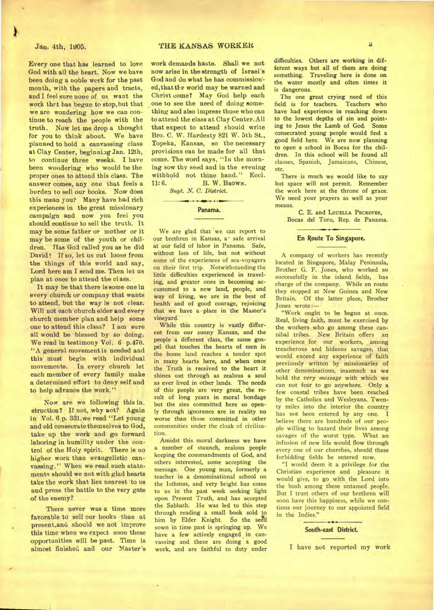Every one that has learned to love God with all the heart. Now we have been doing a noble work for the past month, with the papers and tracts, and I feel sure none of us want the work thrt has begun to stop, but that we are wondering how we can continue to reach the people with the truth. Now let me drop a thought for you to think about. We have planned to hold a canvassing class at Clay Center, beginning Jan. 12th, to continue three weeks. I have been wondering who would be the proper ones to attend this class. The answer comes, any one that feels a burden to sell our books. Now does this mean you? Many have had rich experiences in the great missionary campaign and now you feel you should continue to sell the truth. It may be some father or mother or it may be some of the youth or children. Has God called you as he did David? If so, let us cut loose from the things of this world and say, Lord here am I send me. Then let us plan at once to attend the cl ass.

It may be that there is some one in every church or company that wants to attend, but the way is not clear. Will not each church elder and every church member plan and help some one to attend this class? I am sure all would be blessed by so doing. We read in testimony Vol, 6 p.470. "A general movement is needed and this must begin with individual movements. In every church let each member of every family make a determined effort to deny self and to help advance the work."

Now are we following this instruction? If not, why not? Again in Vol. 6 p. 331,we read "Let young and old consecrate themselves to God, take up the work and go forward laboring in humility under the control of the Holy spirit. There is no higher work than evangelistic canvassing." When we read such statements should we not with glad hearts take the work that lies nearest to us and press the battle to the very gate of the enemy?

There never was a time more favorable to sell our books than at present,and should we not improve this time when we expect soon these opportunities will be past. Time is almost finished and our Master's

work demands haste. Shall we not now arise in the strength of Israel's God and do what he has commissioned,thatthe world may be warned and Christ come? May God help each one to see the need of doing something and also impress those who can to attend the class at Clay Center.All that expect to attend should write Bro. C. W. Hardesty 821 W. 5th St., Topeka, Kansas, so the necessary provisions can be made for all that come. The word says, "In the morning sow thy seed and in the evening withhold not thine hand." Eccl. 11:6. **B. W. BROWN.** 

*Supt. N. C. District.* 

*.•* **• • 411=1•.•** 

**Panama.** 

We are glad that we can report to our brethren in Kansas, a safe arrival at our field of labor in Panama. Safe, without loss of life, but not without some of the experiences of sea-voyagers on their first trip. Notwithstanding the little difficulties experienced in traveling, and greater ones in becoming accustomed to a new land, people, and way of living, we are in the best of health and of good courage, rejoicing that we have a place in the Master's vineyard.

While this country is vastly different from our sunny Kansas, and the people a different class, the same gospel that touches the hearts of men in the home land reaches a tender spot in many hearts here, and when once the Truth is received to the heart it shines out through as zealous a soul as ever lived in other lands. The needs of this people are very great, the result of long years in moral bondage but the sins committed here so openly through ignorance are in reality no worse than those committed in other communities under the cloak of civilization.

Amidst this moral darkness we have a number of staunch, zealous people keeping the commandments of God, and others interested, some accepting the message. One young man, formerly a teacher in a denominational school on the Isthmus, and very bright has come to us in the past week seeking light upon Present Truth, and has accepted the Sabbath. He was led to this step through reading a small book sold to him by Elder Knight. So the seed sown in time past is springing up. We have a few actively engaged in canvassing and these are doing a good work, and are faithful to duty under difficulties. Others are working in different ways but all of them are doing something. Traveling here is done on the water mostly and often times it is dangerous.

The one great crying need of this field is for teachers. Teachers who have had experience in reaching down to the lowest depths of sin and pointing to Jesus the Lamb of God. Some consecrated young people would find a good field here. We are now planning to open a school in Bocas for the children. In this school will be found all classes, Spanish, Jamaicans, Chinese, etc.

There is much we would like to say but space will not permit. Remember the work here at the throne of grace. We need your prayers as well as your means.

C. E. and **LOUELLA PECKOVER,**  Bocas del Toro, Rep. de Panama.

## **En Route To Singapore.**

A company of workers has recently located in Singapore, Malay Peninsula. Brother G. F. Jones, who worked so successfully in the island fields, has charge of the company. While en route they stopped at New Guinea and New Britain. Of the latter place, Brother Jones wrote :—

"Work ought to be begun at once. Real, living faith, must be exercised by the workers who go among these cannibal tribes. New Britain offers an experience for our workers, among treacherous and hideous savages, that would exceed any experience of faith previously written by missionaries of other denominations, inasmuch as we hold the *very message* with which we can not fear to go anywhere. Only a few coastal tribes have been reached by the Catholics and Wesleyans. Twenty miles into the interior the country has not been entered by any one. I believe there are hundreds of our people willing to hazard their lives among savages of the worst type. What an infusion of new life would flow through every one of our churches, should these forbidding fields be entered now.

"I would deem it a privilege for the Christian experience and pleasure it would give, to go with the Lord into the bush among these untamed people. But I trust others of our brethren will soon have this happiness, while we continue our journey to our appointed field in the Indies." • •

**South-east District.** 

I have not reported my work